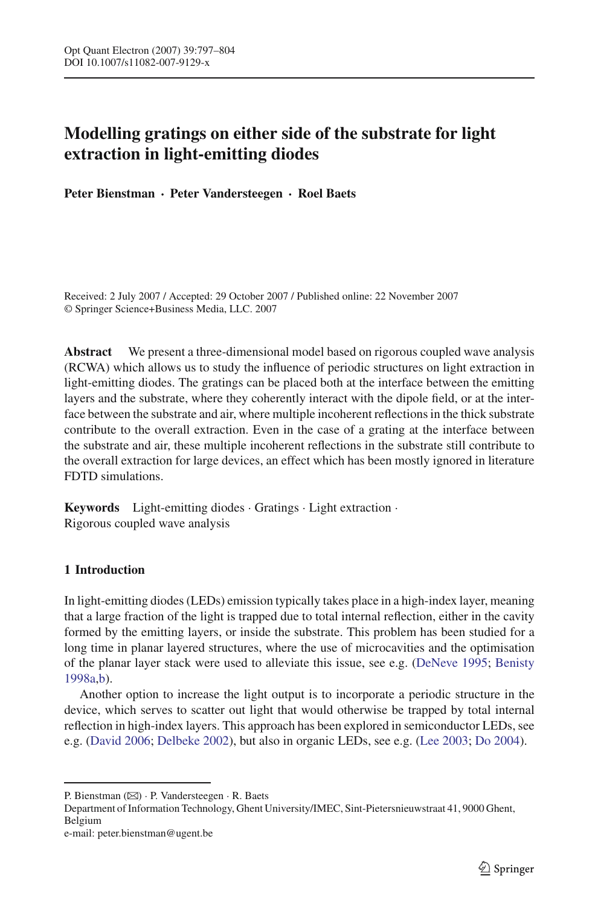# **Modelling gratings on either side of the substrate for light extraction in light-emitting diodes**

**Peter Bienstman · Peter Vandersteegen · Roel Baets**

Received: 2 July 2007 / Accepted: 29 October 2007 / Published online: 22 November 2007 © Springer Science+Business Media, LLC. 2007

**Abstract** We present a three-dimensional model based on rigorous coupled wave analysis (RCWA) which allows us to study the influence of periodic structures on light extraction in light-emitting diodes. The gratings can be placed both at the interface between the emitting layers and the substrate, where they coherently interact with the dipole field, or at the interface between the substrate and air, where multiple incoherent reflections in the thick substrate contribute to the overall extraction. Even in the case of a grating at the interface between the substrate and air, these multiple incoherent reflections in the substrate still contribute to the overall extraction for large devices, an effect which has been mostly ignored in literature FDTD simulations.

**Keywords** Light-emitting diodes · Gratings · Light extraction · Rigorous coupled wave analysis

# **1 Introduction**

In light-emitting diodes (LEDs) emission typically takes place in a high-index layer, meaning that a large fraction of the light is trapped due to total internal reflection, either in the cavity formed by the emitting layers, or inside the substrate. This problem has been studied for a long time in planar layered structures, where the use of microcavities and the optimisation of the planar layer stack were used to alleviate this issue, see e.g. [\(DeNeve 1995;](#page-6-0) [Benisty](#page-6-1) [1998a](#page-6-1)[,b](#page-6-2)).

Another option to increase the light output is to incorporate a periodic structure in the device, which serves to scatter out light that would otherwise be trapped by total internal reflection in high-index layers. This approach has been explored in semiconductor LEDs, see e.g. [\(David 2006;](#page-6-3) [Delbeke 2002](#page-7-0)), but also in organic LEDs, see e.g. [\(Lee 2003](#page-7-1); [Do 2004](#page-7-2)).

Department of Information Technology, Ghent University/IMEC, Sint-Pietersnieuwstraat 41, 9000 Ghent, Belgium

P. Bienstman (B) · P. Vandersteegen · R. Baets

e-mail: peter.bienstman@ugent.be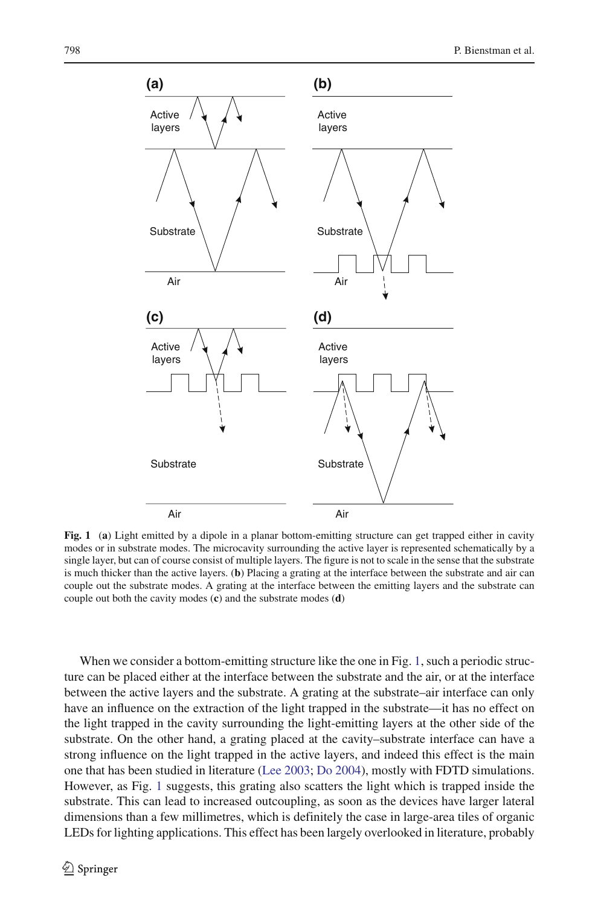

<span id="page-1-0"></span>**Fig. 1** (**a**) Light emitted by a dipole in a planar bottom-emitting structure can get trapped either in cavity modes or in substrate modes. The microcavity surrounding the active layer is represented schematically by a single layer, but can of course consist of multiple layers. The figure is not to scale in the sense that the substrate is much thicker than the active layers. (**b**) Placing a grating at the interface between the substrate and air can couple out the substrate modes. A grating at the interface between the emitting layers and the substrate can couple out both the cavity modes (**c**) and the substrate modes (**d**)

When we consider a bottom-emitting structure like the one in Fig. [1,](#page-1-0) such a periodic structure can be placed either at the interface between the substrate and the air, or at the interface between the active layers and the substrate. A grating at the substrate–air interface can only have an influence on the extraction of the light trapped in the substrate—it has no effect on the light trapped in the cavity surrounding the light-emitting layers at the other side of the substrate. On the other hand, a grating placed at the cavity–substrate interface can have a strong influence on the light trapped in the active layers, and indeed this effect is the main one that has been studied in literature [\(Lee 2003](#page-7-1); [Do 2004\)](#page-7-2), mostly with FDTD simulations. However, as Fig. [1](#page-1-0) suggests, this grating also scatters the light which is trapped inside the substrate. This can lead to increased outcoupling, as soon as the devices have larger lateral dimensions than a few millimetres, which is definitely the case in large-area tiles of organic LEDs for lighting applications. This effect has been largely overlooked in literature, probably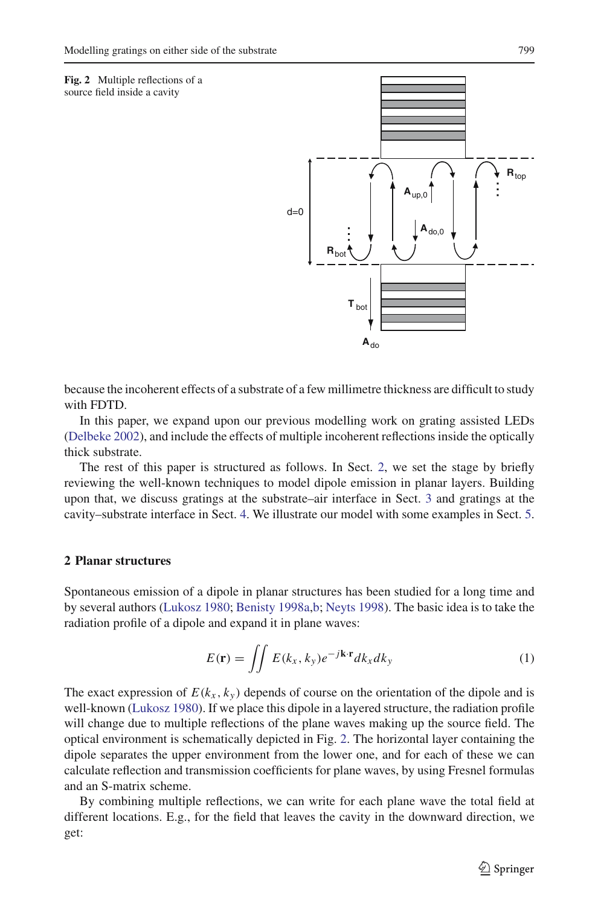<span id="page-2-1"></span>**Fig. 2** Multiple reflections of a source field inside a cavity



because the incoherent effects of a substrate of a few millimetre thickness are difficult to study with FDTD.

In this paper, we expand upon our previous modelling work on grating assisted LEDs [\(Delbeke 2002\)](#page-7-0), and include the effects of multiple incoherent reflections inside the optically thick substrate.

The rest of this paper is structured as follows. In Sect. [2,](#page-2-0) we set the stage by briefly reviewing the well-known techniques to model dipole emission in planar layers. Building upon that, we discuss gratings at the substrate–air interface in Sect. [3](#page-3-0) and gratings at the cavity–substrate interface in Sect. [4.](#page-4-0) We illustrate our model with some examples in Sect. [5.](#page-5-0)

## <span id="page-2-0"></span>**2 Planar structures**

Spontaneous emission of a dipole in planar structures has been studied for a long time and by several authors [\(Lukosz 1980;](#page-7-3) [Benisty 1998a](#page-6-1)[,b;](#page-6-2) [Neyts 1998](#page-7-4)). The basic idea is to take the radiation profile of a dipole and expand it in plane waves:

<span id="page-2-2"></span>
$$
E(\mathbf{r}) = \iint E(k_x, k_y) e^{-j\mathbf{k} \cdot \mathbf{r}} dk_x dk_y \tag{1}
$$

The exact expression of  $E(k_x, k_y)$  depends of course on the orientation of the dipole and is well-known [\(Lukosz 1980\)](#page-7-3). If we place this dipole in a layered structure, the radiation profile will change due to multiple reflections of the plane waves making up the source field. The optical environment is schematically depicted in Fig. [2.](#page-2-1) The horizontal layer containing the dipole separates the upper environment from the lower one, and for each of these we can calculate reflection and transmission coefficients for plane waves, by using Fresnel formulas and an S-matrix scheme.

<span id="page-2-3"></span>By combining multiple reflections, we can write for each plane wave the total field at different locations. E.g., for the field that leaves the cavity in the downward direction, we get: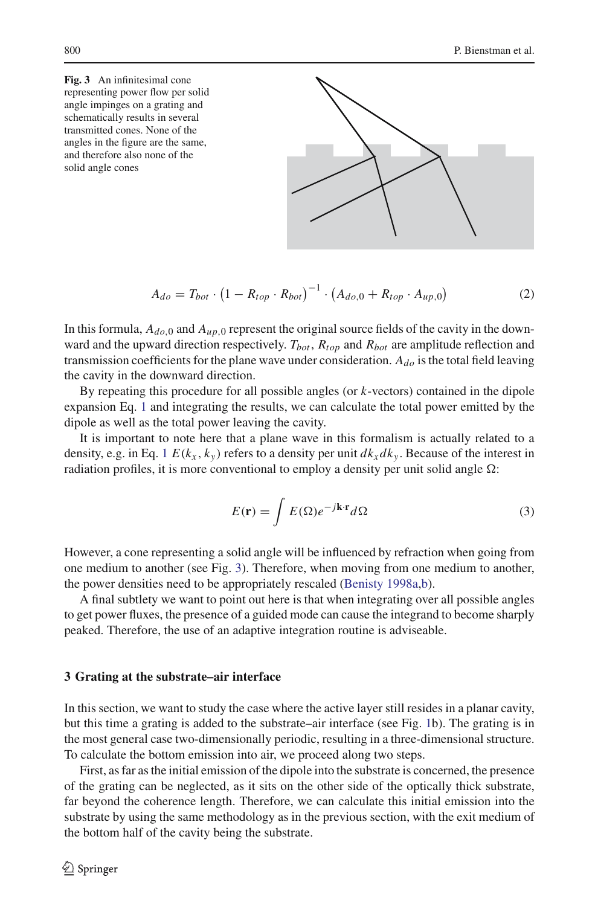<span id="page-3-1"></span>**Fig. 3** An infinitesimal cone representing power flow per solid angle impinges on a grating and schematically results in several transmitted cones. None of the angles in the figure are the same, and therefore also none of the solid angle cones



$$
A_{do} = T_{bot} \cdot (1 - R_{top} \cdot R_{bot})^{-1} \cdot (A_{do,0} + R_{top} \cdot A_{up,0})
$$
 (2)

In this formula,  $A_{d_0,0}$  and  $A_{\mu}$ , o represent the original source fields of the cavity in the downward and the upward direction respectively.  $T_{bot}$ ,  $R_{top}$  and  $R_{bot}$  are amplitude reflection and transmission coefficients for the plane wave under consideration. *Ado* is the total field leaving the cavity in the downward direction.

By repeating this procedure for all possible angles (or *k*-vectors) contained in the dipole expansion Eq. [1](#page-2-2) and integrating the results, we can calculate the total power emitted by the dipole as well as the total power leaving the cavity.

It is important to note here that a plane wave in this formalism is actually related to a density, e.g. in Eq. [1](#page-2-2)  $E(k_x, k_y)$  refers to a density per unit  $dk_x dk_y$ . Because of the interest in radiation profiles, it is more conventional to employ a density per unit solid angle  $\Omega$ :

$$
E(\mathbf{r}) = \int E(\Omega)e^{-j\mathbf{k}\cdot\mathbf{r}}d\Omega
$$
 (3)

However, a cone representing a solid angle will be influenced by refraction when going from one medium to another (see Fig. [3\)](#page-3-1). Therefore, when moving from one medium to another, the power densities need to be appropriately rescaled [\(Benisty 1998a](#page-6-1)[,b\)](#page-6-2).

A final subtlety we want to point out here is that when integrating over all possible angles to get power fluxes, the presence of a guided mode can cause the integrand to become sharply peaked. Therefore, the use of an adaptive integration routine is adviseable.

### <span id="page-3-0"></span>**3 Grating at the substrate–air interface**

In this section, we want to study the case where the active layer still resides in a planar cavity, but this time a grating is added to the substrate–air interface (see Fig. [1b](#page-1-0)). The grating is in the most general case two-dimensionally periodic, resulting in a three-dimensional structure. To calculate the bottom emission into air, we proceed along two steps.

First, as far as the initial emission of the dipole into the substrate is concerned, the presence of the grating can be neglected, as it sits on the other side of the optically thick substrate, far beyond the coherence length. Therefore, we can calculate this initial emission into the substrate by using the same methodology as in the previous section, with the exit medium of the bottom half of the cavity being the substrate.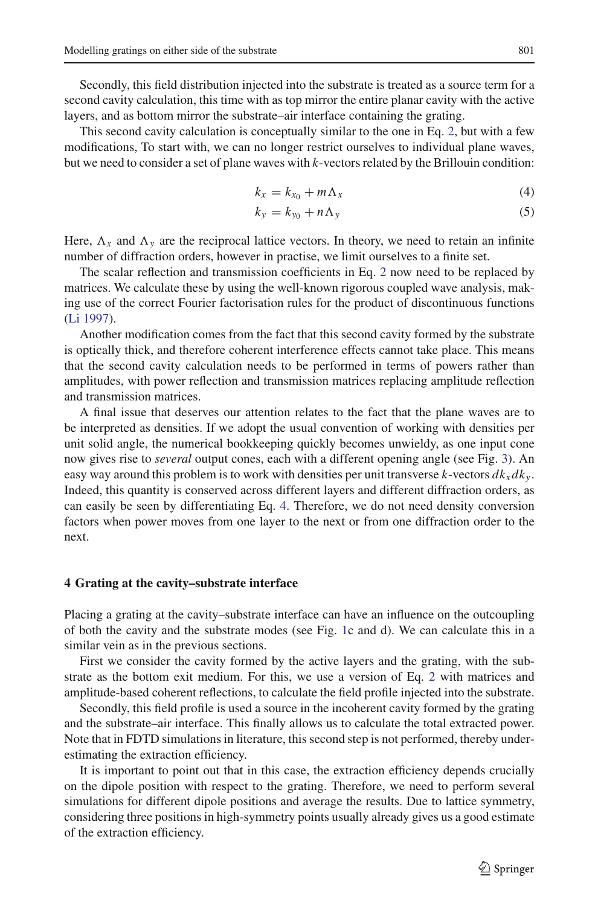Secondly, this field distribution injected into the substrate is treated as a source term for a second cavity calculation, this time with as top mirror the entire planar cavity with the active layers, and as bottom mirror the substrate–air interface containing the grating.

This second cavity calculation is conceptually similar to the one in Eq. [2,](#page-2-3) but with a few modifications, To start with, we can no longer restrict ourselves to individual plane waves, but we need to consider a set of plane waves with *k*-vectors related by the Brillouin condition:

<span id="page-4-1"></span>
$$
k_x = k_{x_0} + m\Lambda_x \tag{4}
$$

$$
k_y = k_{y_0} + n\Lambda_y \tag{5}
$$

Here,  $\Lambda_x$  and  $\Lambda_y$  are the reciprocal lattice vectors. In theory, we need to retain an infinite number of diffraction orders, however in practise, we limit ourselves to a finite set.

The scalar reflection and transmission coefficients in Eq. [2](#page-2-3) now need to be replaced by matrices. We calculate these by using the well-known rigorous coupled wave analysis, making use of the correct Fourier factorisation rules for the product of discontinuous functions [\(Li 1997](#page-7-5)).

Another modification comes from the fact that this second cavity formed by the substrate is optically thick, and therefore coherent interference effects cannot take place. This means that the second cavity calculation needs to be performed in terms of powers rather than amplitudes, with power reflection and transmission matrices replacing amplitude reflection and transmission matrices.

A final issue that deserves our attention relates to the fact that the plane waves are to be interpreted as densities. If we adopt the usual convention of working with densities per unit solid angle, the numerical bookkeeping quickly becomes unwieldy, as one input cone now gives rise to *several* output cones, each with a different opening angle (see Fig. [3\)](#page-3-1). An easy way around this problem is to work with densities per unit transverse  $k$ -vectors  $dk_x dk_y$ . Indeed, this quantity is conserved across different layers and different diffraction orders, as can easily be seen by differentiating Eq. [4.](#page-4-1) Therefore, we do not need density conversion factors when power moves from one layer to the next or from one diffraction order to the next.

## <span id="page-4-0"></span>**4 Grating at the cavity–substrate interface**

Placing a grating at the cavity–substrate interface can have an influence on the outcoupling of both the cavity and the substrate modes (see Fig. [1c](#page-1-0) and d). We can calculate this in a similar vein as in the previous sections.

First we consider the cavity formed by the active layers and the grating, with the substrate as the bottom exit medium. For this, we use a version of Eq. [2](#page-2-3) with matrices and amplitude-based coherent reflections, to calculate the field profile injected into the substrate.

Secondly, this field profile is used a source in the incoherent cavity formed by the grating and the substrate–air interface. This finally allows us to calculate the total extracted power. Note that in FDTD simulations in literature, this second step is not performed, thereby underestimating the extraction efficiency.

It is important to point out that in this case, the extraction efficiency depends crucially on the dipole position with respect to the grating. Therefore, we need to perform several simulations for different dipole positions and average the results. Due to lattice symmetry, considering three positions in high-symmetry points usually already gives us a good estimate of the extraction efficiency.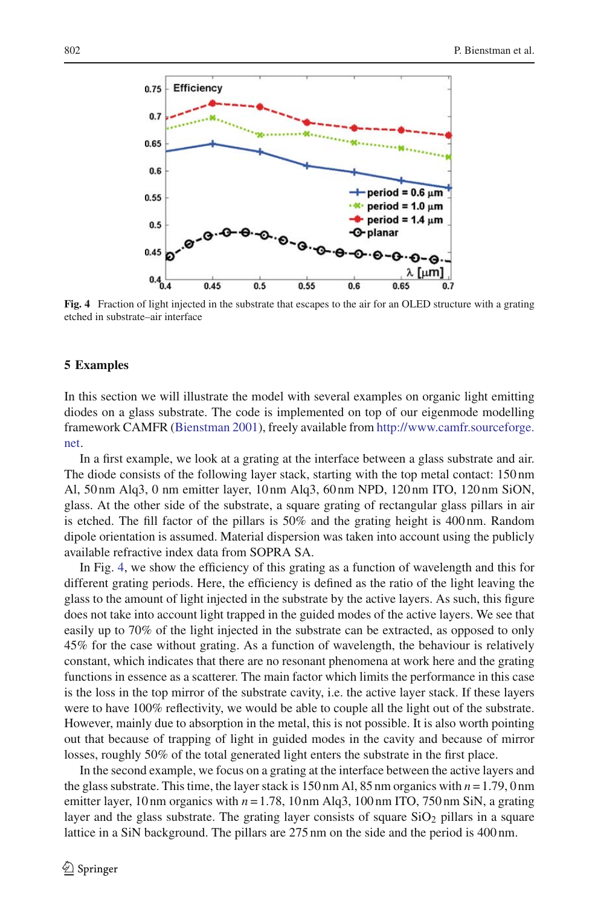

<span id="page-5-1"></span>**Fig. 4** Fraction of light injected in the substrate that escapes to the air for an OLED structure with a grating etched in substrate–air interface

### <span id="page-5-0"></span>**5 Examples**

In this section we will illustrate the model with several examples on organic light emitting diodes on a glass substrate. The code is implemented on top of our eigenmode modelling framework CAMFR [\(Bienstman 2001\)](#page-6-4), freely available from [http://www.camfr.sourceforge.](http://www.camfr.sourceforge.net) [net.](http://www.camfr.sourceforge.net)

In a first example, we look at a grating at the interface between a glass substrate and air. The diode consists of the following layer stack, starting with the top metal contact: 150 nm Al, 50 nm Alq3, 0 nm emitter layer, 10 nm Alq3, 60 nm NPD, 120 nm ITO, 120 nm SiON, glass. At the other side of the substrate, a square grating of rectangular glass pillars in air is etched. The fill factor of the pillars is 50% and the grating height is 400 nm. Random dipole orientation is assumed. Material dispersion was taken into account using the publicly available refractive index data from SOPRA SA.

In Fig. [4,](#page-5-1) we show the efficiency of this grating as a function of wavelength and this for different grating periods. Here, the efficiency is defined as the ratio of the light leaving the glass to the amount of light injected in the substrate by the active layers. As such, this figure does not take into account light trapped in the guided modes of the active layers. We see that easily up to 70% of the light injected in the substrate can be extracted, as opposed to only 45% for the case without grating. As a function of wavelength, the behaviour is relatively constant, which indicates that there are no resonant phenomena at work here and the grating functions in essence as a scatterer. The main factor which limits the performance in this case is the loss in the top mirror of the substrate cavity, i.e. the active layer stack. If these layers were to have 100% reflectivity, we would be able to couple all the light out of the substrate. However, mainly due to absorption in the metal, this is not possible. It is also worth pointing out that because of trapping of light in guided modes in the cavity and because of mirror losses, roughly 50% of the total generated light enters the substrate in the first place.

In the second example, we focus on a grating at the interface between the active layers and the glass substrate. This time, the layer stack is 150 nm Al, 85 nm organics with *n* = 1.79, 0 nm emitter layer, 10 nm organics with  $n = 1.78$ , 10 nm Alq3, 100 nm ITO, 750 nm SiN, a grating layer and the glass substrate. The grating layer consists of square  $SiO<sub>2</sub>$  pillars in a square lattice in a SiN background. The pillars are 275 nm on the side and the period is 400 nm.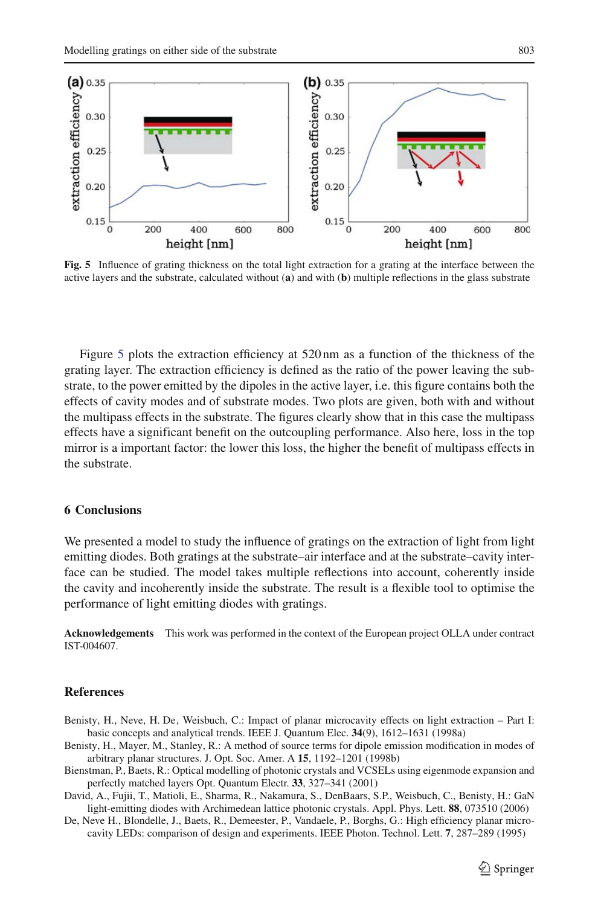

<span id="page-6-5"></span>**Fig. 5** Influence of grating thickness on the total light extraction for a grating at the interface between the active layers and the substrate, calculated without (**a**) and with (**b**) multiple reflections in the glass substrate

Figure [5](#page-6-5) plots the extraction efficiency at 520 nm as a function of the thickness of the grating layer. The extraction efficiency is defined as the ratio of the power leaving the substrate, to the power emitted by the dipoles in the active layer, i.e. this figure contains both the effects of cavity modes and of substrate modes. Two plots are given, both with and without the multipass effects in the substrate. The figures clearly show that in this case the multipass effects have a significant benefit on the outcoupling performance. Also here, loss in the top mirror is a important factor: the lower this loss, the higher the benefit of multipass effects in the substrate.

## **6 Conclusions**

We presented a model to study the influence of gratings on the extraction of light from light emitting diodes. Both gratings at the substrate–air interface and at the substrate–cavity interface can be studied. The model takes multiple reflections into account, coherently inside the cavity and incoherently inside the substrate. The result is a flexible tool to optimise the performance of light emitting diodes with gratings.

**Acknowledgements** This work was performed in the context of the European project OLLA under contract IST-004607.

## **References**

- <span id="page-6-1"></span>Benisty, H., Neve, H. De, Weisbuch, C.: Impact of planar microcavity effects on light extraction – Part I: basic concepts and analytical trends. IEEE J. Quantum Elec. **34**(9), 1612–1631 (1998a)
- <span id="page-6-2"></span>Benisty, H., Mayer, M., Stanley, R.: A method of source terms for dipole emission modification in modes of arbitrary planar structures. J. Opt. Soc. Amer. A **15**, 1192–1201 (1998b)
- <span id="page-6-4"></span>Bienstman, P., Baets, R.: Optical modelling of photonic crystals and VCSELs using eigenmode expansion and perfectly matched layers Opt. Quantum Electr. **33**, 327–341 (2001)
- <span id="page-6-3"></span>David, A., Fujii, T., Matioli, E., Sharma, R., Nakamura, S., DenBaars, S.P., Weisbuch, C., Benisty, H.: GaN light-emitting diodes with Archimedean lattice photonic crystals. Appl. Phys. Lett. **88**, 073510 (2006)
- <span id="page-6-0"></span>De, Neve H., Blondelle, J., Baets, R., Demeester, P., Vandaele, P., Borghs, G.: High efficiency planar microcavity LEDs: comparison of design and experiments. IEEE Photon. Technol. Lett. **7**, 287–289 (1995)